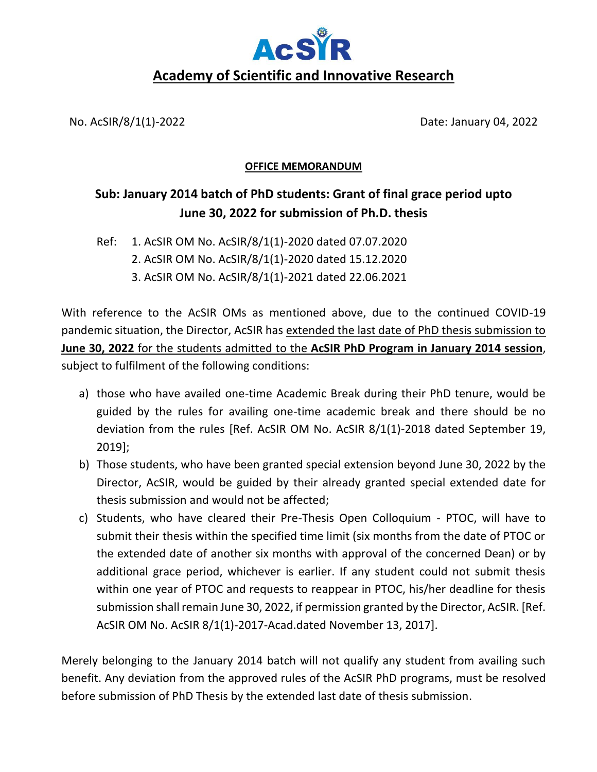

No. AcSIR/8/1(1)-2022 Date: January 04, 2022

## **OFFICE MEMORANDUM**

## **Sub: January 2014 batch of PhD students: Grant of final grace period upto June 30, 2022 for submission of Ph.D. thesis**

Ref: 1. AcSIR OM No. AcSIR/8/1(1)-2020 dated 07.07.2020

- 2. AcSIR OM No. AcSIR/8/1(1)-2020 dated 15.12.2020
	- 3. AcSIR OM No. AcSIR/8/1(1)-2021 dated 22.06.2021

With reference to the AcSIR OMs as mentioned above, due to the continued COVID-19 pandemic situation, the Director, AcSIR has extended the last date of PhD thesis submission to **June 30, 2022** for the students admitted to the **AcSIR PhD Program in January 2014 session**, subject to fulfilment of the following conditions:

- a) those who have availed one-time Academic Break during their PhD tenure, would be guided by the rules for availing one-time academic break and there should be no deviation from the rules [Ref. AcSIR OM No. AcSIR 8/1(1)-2018 dated September 19, 2019];
- b) Those students, who have been granted special extension beyond June 30, 2022 by the Director, AcSIR, would be guided by their already granted special extended date for thesis submission and would not be affected;
- c) Students, who have cleared their Pre-Thesis Open Colloquium PTOC, will have to submit their thesis within the specified time limit (six months from the date of PTOC or the extended date of another six months with approval of the concerned Dean) or by additional grace period, whichever is earlier. If any student could not submit thesis within one year of PTOC and requests to reappear in PTOC, his/her deadline for thesis submission shall remain June 30, 2022, if permission granted by the Director, AcSIR. [Ref. AcSIR OM No. AcSIR 8/1(1)-2017-Acad.dated November 13, 2017].

Merely belonging to the January 2014 batch will not qualify any student from availing such benefit. Any deviation from the approved rules of the AcSIR PhD programs, must be resolved before submission of PhD Thesis by the extended last date of thesis submission.